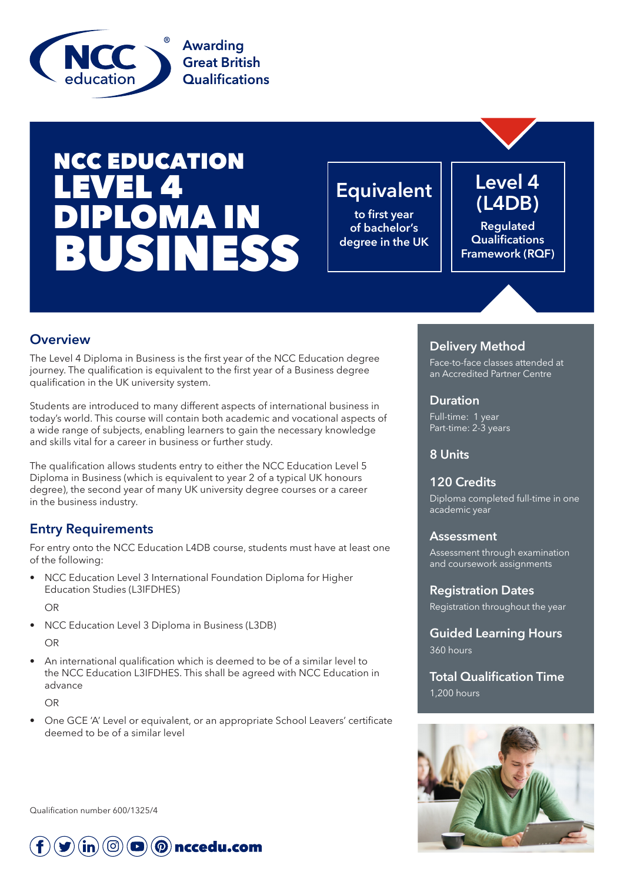

# NCC EDUCATION LEVEL 4 **OMAIN** BUSINESS

# **Equivalent**

**to first year of bachelor's degree in the UK**

# **Level 4 (L4DB)**

**Regulated Qualifications Framework (RQF)**

### **Overview**

The Level 4 Diploma in Business is the first year of the NCC Education degree journey. The qualification is equivalent to the first year of a Business degree qualification in the UK university system.

Students are introduced to many different aspects of international business in today's world. This course will contain both academic and vocational aspects of a wide range of subjects, enabling learners to gain the necessary knowledge and skills vital for a career in business or further study.

The qualification allows students entry to either the NCC Education Level 5 Diploma in Business (which is equivalent to year 2 of a typical UK honours degree), the second year of many UK university degree courses or a career in the business industry.

## **Entry Requirements**

For entry onto the NCC Education L4DB course, students must have at least one of the following:

• NCC Education Level 3 International Foundation Diploma for Higher Education Studies (L3IFDHES)

OR

• NCC Education Level 3 Diploma in Business (L3DB)

OR

• An international qualification which is deemed to be of a similar level to the NCC Education L3IFDHES. This shall be agreed with NCC Education in advance

OR

• One GCE 'A' Level or equivalent, or an appropriate School Leavers' certificate deemed to be of a similar level

Qualification number 600/1325/4



### **Delivery Method**

Face-to-face classes attended at an Accredited Partner Centre

#### **Duration**

Full-time: 1 year Part-time: 2-3 years

#### **8 Units**

#### **120 Credits**

Diploma completed full-time in one academic year

#### **Assessment**

Assessment through examination and coursework assignments

**Registration Dates**  Registration throughout the year

**Guided Learning Hours** 360 hours

**Total Qualification Time** 1,200 hours